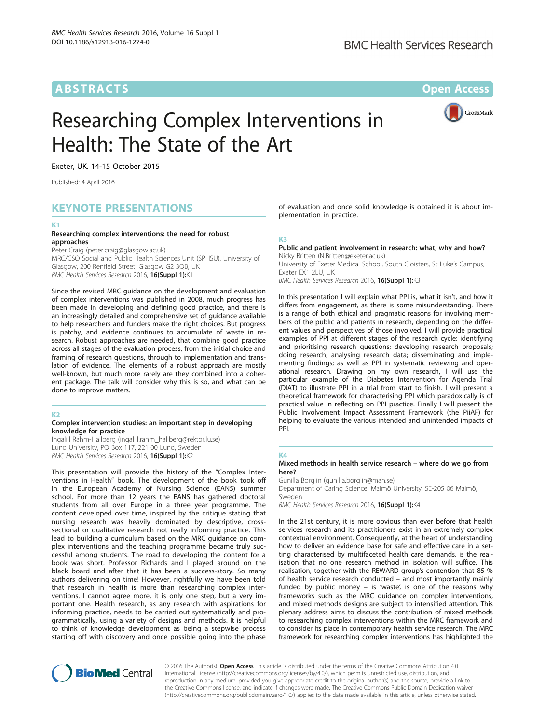# AB STRACTS ARE EXPERIMENT ON A SERIES AND THE SERIES OPEN ACCESS AND THE SERIES OPEN ACCESS

# Researching Complex Interventions in Health: The State of the Art



Exeter, UK. 14-15 October 2015

Published: 4 April 2016

# KEYNOTE PRESENTATIONS

#### K1

#### Researching complex interventions: the need for robust approaches

Peter Craig (peter.craig@glasgow.ac.uk) MRC/CSO Social and Public Health Sciences Unit (SPHSU), University of Glasgow, 200 Renfield Street, Glasgow G2 3QB, UK BMC Health Services Research 2016, 16(Suppl 1):K1

Since the revised MRC guidance on the development and evaluation of complex interventions was published in 2008, much progress has been made in developing and defining good practice, and there is an increasingly detailed and comprehensive set of guidance available to help researchers and funders make the right choices. But progress is patchy, and evidence continues to accumulate of waste in research. Robust approaches are needed, that combine good practice across all stages of the evaluation process, from the initial choice and framing of research questions, through to implementation and translation of evidence. The elements of a robust approach are mostly well-known, but much more rarely are they combined into a coherent package. The talk will consider why this is so, and what can be done to improve matters.

# K2

# Complex intervention studies: an important step in developing knowledge for practice

Ingalill Rahm-Hallberg (ingalill.rahm\_hallberg@rektor.lu.se) Lund University, PO Box 117, 221 00 Lund, Sweden BMC Health Services Research 2016, 16(Suppl 1):K2

This presentation will provide the history of the "Complex Interventions in Health" book. The development of the book took off in the European Academy of Nursing Science (EANS) summer school. For more than 12 years the EANS has gathered doctoral students from all over Europe in a three year programme. The content developed over time, inspired by the critique stating that nursing research was heavily dominated by descriptive, crosssectional or qualitative research not really informing practice. This lead to building a curriculum based on the MRC guidance on complex interventions and the teaching programme became truly successful among students. The road to developing the content for a book was short. Professor Richards and I played around on the black board and after that it has been a success-story. So many authors delivering on time! However, rightfully we have been told that research in health is more than researching complex interventions. I cannot agree more, it is only one step, but a very important one. Health research, as any research with aspirations for informing practice, needs to be carried out systematically and programmatically, using a variety of designs and methods. It is helpful to think of knowledge development as being a stepwise process starting off with discovery and once possible going into the phase

of evaluation and once solid knowledge is obtained it is about implementation in practice.

## $K<sub>3</sub>$

# Public and patient involvement in research: what, why and how? Nicky Britten (N.Britten@exeter.ac.uk)

University of Exeter Medical School, South Cloisters, St Luke's Campus, Exeter EX1 2LU, UK BMC Health Services Research 2016, 16(Suppl 1):K3

In this presentation I will explain what PPI is, what it isn't, and how it differs from engagement, as there is some misunderstanding. There is a range of both ethical and pragmatic reasons for involving members of the public and patients in research, depending on the different values and perspectives of those involved. I will provide practical examples of PPI at different stages of the research cycle: identifying and prioritising research questions; developing research proposals; doing research; analysing research data; disseminating and implementing findings; as well as PPI in systematic reviewing and operational research. Drawing on my own research, I will use the particular example of the Diabetes Intervention for Agenda Trial (DIAT) to illustrate PPI in a trial from start to finish. I will present a theoretical framework for characterising PPI which paradoxically is of practical value in reflecting on PPI practice. Finally I will present the Public Involvement Impact Assessment Framework (the PiiAF) for helping to evaluate the various intended and unintended impacts of PPI.

#### K4

Mixed methods in health service research – where do we go from here?

Gunilla Borglin (gunilla.borglin@mah.se) Department of Caring Science, Malmö University, SE-205 06 Malmö, Sweden BMC Health Services Research 2016, 16(Suppl 1):K4

In the 21st century, it is more obvious than ever before that health services research and its practitioners exist in an extremely complex contextual environment. Consequently, at the heart of understanding how to deliver an evidence base for safe and effective care in a setting characterised by multifaceted health care demands, is the realisation that no one research method in isolation will suffice. This realisation, together with the REWARD group's contention that 85 % of health service research conducted – and most importantly mainly funded by public money – is 'waste', is one of the reasons why frameworks such as the MRC guidance on complex interventions, and mixed methods designs are subject to intensified attention. This plenary address aims to discuss the contribution of mixed methods to researching complex interventions within the MRC framework and to consider its place in contemporary health service research. The MRC framework for researching complex interventions has highlighted the



© 2016 The Author(s). Open Access This article is distributed under the terms of the Creative Commons Attribution 4.0 International License ([http://creativecommons.org/licenses/by/4.0/\)](http://creativecommons.org/licenses/by/4.0/), which permits unrestricted use, distribution, and reproduction in any medium, provided you give appropriate credit to the original author(s) and the source, provide a link to the Creative Commons license, and indicate if changes were made. The Creative Commons Public Domain Dedication waiver ([http://creativecommons.org/publicdomain/zero/1.0/\)](http://creativecommons.org/publicdomain/zero/1.0/) applies to the data made available in this article, unless otherwise stated.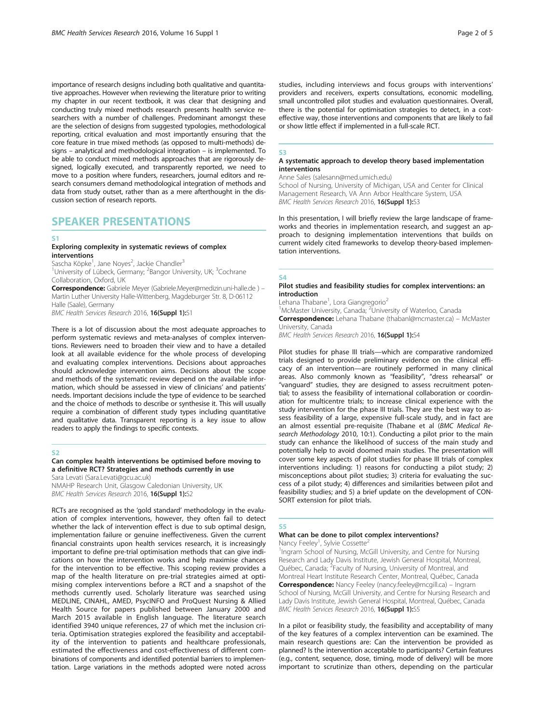importance of research designs including both qualitative and quantitative approaches. However when reviewing the literature prior to writing my chapter in our recent textbook, it was clear that designing and conducting truly mixed methods research presents health service researchers with a number of challenges. Predominant amongst these are the selection of designs from suggested typologies, methodological reporting, critical evaluation and most importantly ensuring that the core feature in true mixed methods (as opposed to multi-methods) designs – analytical and methodological integration – is implemented. To be able to conduct mixed methods approaches that are rigorously designed, logically executed, and transparently reported, we need to move to a position where funders, researchers, journal editors and research consumers demand methodological integration of methods and data from study outset, rather than as a mere afterthought in the discussion section of research reports.

# SPEAKER PRESENTATIONS

#### S1

# Exploring complexity in systematic reviews of complex interventions

Sascha Köpke<sup>1</sup>, Jane Noyes<sup>2</sup>, Jackie Chandler<sup>3</sup> <sup>1</sup>University of Lübeck, Germany; <sup>2</sup>Bangor University, UK; <sup>3</sup>Cochrane Collaboration, Oxford, UK Correspondence: Gabriele Meyer (Gabriele.Meyer@medizin.uni-halle.de) -

Martin Luther University Halle-Wittenberg, Magdeburger Str. 8, D-06112 Halle (Saale), Germany

BMC Health Services Research 2016, 16(Suppl 1):S1

There is a lot of discussion about the most adequate approaches to perform systematic reviews and meta-analyses of complex interventions. Reviewers need to broaden their view and to have a detailed look at all available evidence for the whole process of developing and evaluating complex interventions. Decisions about approaches should acknowledge intervention aims. Decisions about the scope and methods of the systematic review depend on the available information, which should be assessed in view of clinicians' and patients' needs. Important decisions include the type of evidence to be searched and the choice of methods to describe or synthesise it. This will usually require a combination of different study types including quantitative and qualitative data. Transparent reporting is a key issue to allow readers to apply the findings to specific contexts.

# S<sub>2</sub>

# Can complex health interventions be optimised before moving to a definitive RCT? Strategies and methods currently in use

Sara Levati (Sara.Levati@gcu.ac.uk)

NMAHP Research Unit, Glasgow Caledonian University, UK BMC Health Services Research 2016, 16(Suppl 1):S2

RCTs are recognised as the 'gold standard' methodology in the evaluation of complex interventions, however, they often fail to detect whether the lack of intervention effect is due to sub optimal design, implementation failure or genuine ineffectiveness. Given the current financial constraints upon health services research, it is increasingly important to define pre-trial optimisation methods that can give indications on how the intervention works and help maximise chances for the intervention to be effective. This scoping review provides a map of the health literature on pre-trial strategies aimed at optimising complex interventions before a RCT and a snapshot of the methods currently used. Scholarly literature was searched using MEDLINE, CINAHL, AMED, PsycINFO and ProQuest Nursing & Allied Health Source for papers published between January 2000 and March 2015 available in English language. The literature search identified 3940 unique references, 27 of which met the inclusion criteria. Optimisation strategies explored the feasibility and acceptability of the intervention to patients and healthcare professionals, estimated the effectiveness and cost-effectiveness of different combinations of components and identified potential barriers to implementation. Large variations in the methods adopted were noted across

studies, including interviews and focus groups with interventions' providers and receivers, experts consultations, economic modelling, small uncontrolled pilot studies and evaluation questionnaires. Overall, there is the potential for optimisation strategies to detect, in a costeffective way, those interventions and components that are likely to fail or show little effect if implemented in a full-scale RCT.

# S3

#### A systematic approach to develop theory based implementation interventions

Anne Sales (salesann@med.umich.edu)

School of Nursing, University of Michigan, USA and Center for Clinical Management Research, VA Ann Arbor Healthcare System, USA BMC Health Services Research 2016, 16(Suppl 1):S3

In this presentation, I will briefly review the large landscape of frameworks and theories in implementation research, and suggest an approach to designing implementation interventions that builds on current widely cited frameworks to develop theory-based implementation interventions.

## S4

#### Pilot studies and feasibility studies for complex interventions: an introduction

Lehana Thabane<sup>1</sup>, Lora Giangregorio<sup>2</sup>

<sup>1</sup>McMaster University, Canada; <sup>2</sup>University of Waterloo, Canada

Correspondence: Lehana Thabane (thabanl@mcmaster.ca) – McMaster University, Canada

BMC Health Services Research 2016, 16(Suppl 1):S4

Pilot studies for phase III trials—which are comparative randomized trials designed to provide preliminary evidence on the clinical efficacy of an intervention—are routinely performed in many clinical areas. Also commonly known as "feasibility", "dress rehearsal" or "vanguard" studies, they are designed to assess recruitment potential; to assess the feasibility of international collaboration or coordination for multicentre trials; to increase clinical experience with the study intervention for the phase III trials. They are the best way to assess feasibility of a large, expensive full-scale study, and in fact are an almost essential pre-requisite (Thabane et al (BMC Medical Research Methodology 2010, 10:1). Conducting a pilot prior to the main study can enhance the likelihood of success of the main study and potentially help to avoid doomed main studies. The presentation will cover some key aspects of pilot studies for phase III trials of complex interventions including: 1) reasons for conducting a pilot study; 2) misconceptions about pilot studies; 3) criteria for evaluating the success of a pilot study; 4) differences and similarities between pilot and feasibility studies; and 5) a brief update on the development of CON-SORT extension for pilot trials.

# S5

# What can be done to pilot complex interventions? Nancy Feeley<sup>1</sup>, Sylvie Cossette<sup>2</sup>

<sup>1</sup>Ingram School of Nursing, McGill University, and Centre for Nursing Research and Lady Davis Institute, Jewish General Hospital, Montreal, Québec, Canada; <sup>2</sup>Faculty of Nursing, University of Montreal, and Montreal Heart Institute Research Center, Montreal, Québec, Canada **Correspondence:** Nancy Feeley (nancy.feeley@mcgill.ca) – Ingram School of Nursing, McGill University, and Centre for Nursing Research and Lady Davis Institute, Jewish General Hospital, Montreal, Québec, Canada BMC Health Services Research 2016, 16(Suppl 1):S5

In a pilot or feasibility study, the feasibility and acceptability of many of the key features of a complex intervention can be examined. The main research questions are: Can the intervention be provided as planned? Is the intervention acceptable to participants? Certain features (e.g., content, sequence, dose, timing, mode of delivery) will be more important to scrutinize than others, depending on the particular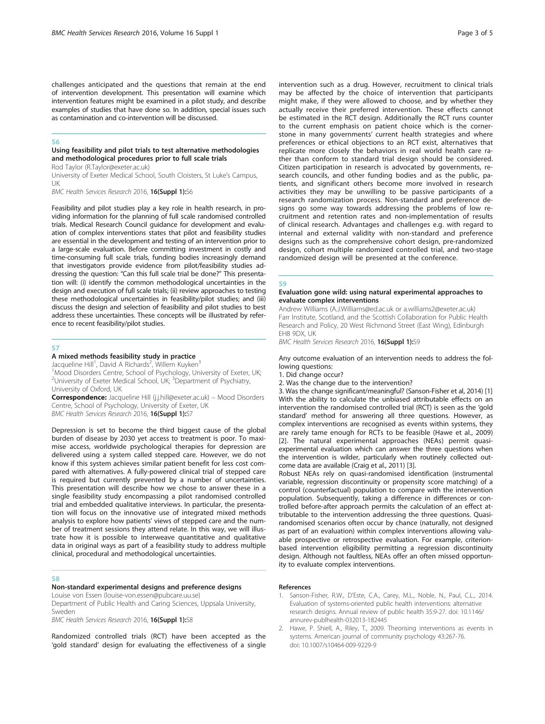challenges anticipated and the questions that remain at the end of intervention development. This presentation will examine which intervention features might be examined in a pilot study, and describe examples of studies that have done so. In addition, special issues such as contamination and co-intervention will be discussed.

#### S6

#### Using feasibility and pilot trials to test alternative methodologies and methodological procedures prior to full scale trials

Rod Taylor (R.Taylor@exeter.ac.uk)

University of Exeter Medical School, South Cloisters, St Luke's Campus, UK

BMC Health Services Research 2016, 16(Suppl 1):S6

Feasibility and pilot studies play a key role in health research, in providing information for the planning of full scale randomised controlled trials. Medical Research Council guidance for development and evaluation of complex interventions states that pilot and feasibility studies are essential in the development and testing of an intervention prior to a large-scale evaluation. Before committing investment in costly and time-consuming full scale trials, funding bodies increasingly demand that investigators provide evidence from pilot/feasibility studies addressing the question: "Can this full scale trial be done?" This presentation will: (i) identify the common methodological uncertainties in the design and execution of full scale trials; (ii) review approaches to testing these methodological uncertainties in feasibility/pilot studies; and (iii) discuss the design and selection of feasibility and pilot studies to best address these uncertainties. These concepts will be illustrated by reference to recent feasibility/pilot studies.

#### S<sub>7</sub>

#### A mixed methods feasibility study in practice

Jacqueline Hill<sup>1</sup>, David A Richards<sup>2</sup>, Willem Kuyken<sup>3</sup>

<sup>1</sup> Mood Disorders Centre, School of Psychology, University of Exeter, UK; <sup>2</sup>University of Exeter Medical School, UK; <sup>3</sup>Department of Psychiatry, University of Oxford, UK

Correspondence: Jacqueline Hill (j.j.hill@exeter.ac.uk) - Mood Disorders Centre, School of Psychology, University of Exeter, UK BMC Health Services Research 2016, 16(Suppl 1):S7

Depression is set to become the third biggest cause of the global burden of disease by 2030 yet access to treatment is poor. To maximise access, worldwide psychological therapies for depression are delivered using a system called stepped care. However, we do not know if this system achieves similar patient benefit for less cost compared with alternatives. A fully-powered clinical trial of stepped care is required but currently prevented by a number of uncertainties. This presentation will describe how we chose to answer these in a single feasibility study encompassing a pilot randomised controlled trial and embedded qualitative interviews. In particular, the presentation will focus on the innovative use of integrated mixed methods analysis to explore how patients' views of stepped care and the number of treatment sessions they attend relate. In this way, we will illustrate how it is possible to interweave quantitative and qualitative data in original ways as part of a feasibility study to address multiple clinical, procedural and methodological uncertainties.

# S8

# Non-standard experimental designs and preference designs

Louise von Essen (louise-von.essen@pubcare.uu.se)

Department of Public Health and Caring Sciences, Uppsala University, Sweden

BMC Health Services Research 2016, 16(Suppl 1):S8

Randomized controlled trials (RCT) have been accepted as the 'gold standard' design for evaluating the effectiveness of a single intervention such as a drug. However, recruitment to clinical trials may be affected by the choice of intervention that participants might make, if they were allowed to choose, and by whether they actually receive their preferred intervention. These effects cannot be estimated in the RCT design. Additionally the RCT runs counter to the current emphasis on patient choice which is the cornerstone in many governments' current health strategies and where preferences or ethical objections to an RCT exist, alternatives that replicate more closely the behaviors in real world health care rather than conform to standard trial design should be considered. Citizen participation in research is advocated by governments, research councils, and other funding bodies and as the public, patients, and significant others become more involved in research activities they may be unwilling to be passive participants of a research randomization process. Non-standard and preference designs go some way towards addressing the problems of low recruitment and retention rates and non-implementation of results of clinical research. Advantages and challenges e.g. with regard to internal and external validity with non-standard and preference designs such as the comprehensive cohort design, pre-randomized design, cohort multiple randomized controlled trial, and two-stage randomized design will be presented at the conference.

# S9

# Evaluation gone wild: using natural experimental approaches to evaluate complex interventions

Andrew Williams (A.J.Williams@ed.ac.uk or a.williams2@exeter.ac.uk) Farr Institute, Scotland, and the Scottish Collaboration for Public Health Research and Policy, 20 West Richmond Street (East Wing), Edinburgh EH8 9DX, UK

BMC Health Services Research 2016, 16(Suppl 1):S9

#### Any outcome evaluation of an intervention needs to address the following questions:

- 1. Did change occur?
- 2. Was the change due to the intervention?

3. Was the change significant/meaningful? (Sanson-Fisher et al, 2014) [1] With the ability to calculate the unbiased attributable effects on an intervention the randomised controlled trial (RCT) is seen as the 'gold standard' method for answering all three questions. However, as complex interventions are recognised as events within systems, they are rarely tame enough for RCTs to be feasible (Hawe et al., 2009) [2]. The natural experimental approaches (NEAs) permit quasiexperimental evaluation which can answer the three questions when the intervention is wilder, particularly when routinely collected outcome data are available (Craig et al., 2011) [3].

Robust NEAs rely on quasi-randomised identification (instrumental variable, regression discontinuity or propensity score matching) of a control (counterfactual) population to compare with the intervention population. Subsequently, taking a difference in differences or controlled before-after approach permits the calculation of an effect attributable to the intervention addressing the three questions. Quasirandomised scenarios often occur by chance (naturally, not designed as part of an evaluation) within complex interventions allowing valuable prospective or retrospective evaluation. For example, criterionbased intervention eligibility permitting a regression discontinuity design. Although not faultless, NEAs offer an often missed opportunity to evaluate complex interventions.

#### References

- 1. Sanson-Fisher, R.W., D'Este, C.A., Carey, M.L., Noble, N., Paul, C.L., 2014. Evaluation of systems-oriented public health interventions: alternative research designs. Annual review of public health 35:9-27. doi: [10.1146/](http://dx.doi.org/10.1146/annurev-publhealth-032013-182445) [annurev-publhealth-032013-182445](http://dx.doi.org/10.1146/annurev-publhealth-032013-182445)
- 2. Hawe, P. Shiell, A., Riley, T., 2009. Theorising interventions as events in systems. American journal of community psychology 43:267-76. doi: [10.1007/s10464-009-9229-9](http://dx.doi.org/10.1007/s10464-009-9229-9)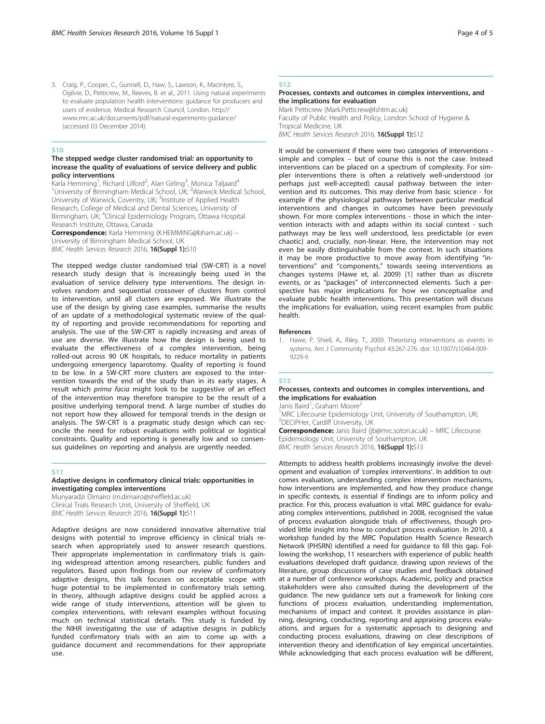3. Craig, P., Cooper, C., Gunnell, D., Haw, S., Lawson, K., Macintyre, S., Ogilvie, D., Petticrew, M., Reeves, B. et al., 2011. Using natural experiments to evaluate population health interventions: guidance for producers and users of evidence. Medical Research Council, London. [http://](http://www.mrc.ac.uk/documents/pdf/natural-experiments-guidance/) [www.mrc.ac.uk/documents/pdf/natural-experiments-guidance/](http://www.mrc.ac.uk/documents/pdf/natural-experiments-guidance/) (accessed 03 December 2014).

#### S10

# The stepped wedge cluster randomised trial: an opportunity to increase the quality of evaluations of service delivery and public policy interventions

.<br>Karla Hemming<sup>1</sup>, Richard Lilford<sup>2</sup>, Alan Girling<sup>3</sup>, Monica Taljaard<sup>4</sup> <sup>1</sup> University of Birmingham Medical School, UK; <sup>2</sup> Warwick Medical School, University of Warwick, Coventry, UK; <sup>3</sup>Institute of Applied Health Research, College of Medical and Dental Sciences, University of Birmingham, UK; <sup>4</sup>Clinical Epidemiology Program, Ottawa Hospital Research Institute, Ottawa, Canada

Correspondence: Karla Hemming (K.HEMMING@bham.ac.uk) – University of Birmingham Medical School, UK BMC Health Services Research 2016, 16(Suppl 1):S10

The stepped wedge cluster randomised trial (SW-CRT) is a novel research study design that is increasingly being used in the evaluation of service delivery type interventions. The design involves random and sequential crossover of clusters from control to intervention, until all clusters are exposed. We illustrate the use of the design by giving case examples, summarise the results of an update of a methodological systematic review of the quality of reporting and provide recommendations for reporting and analysis. The use of the SW-CRT is rapidly increasing and areas of use are diverse. We illustrate how the design is being used to evaluate the effectiveness of a complex intervention, being rolled-out across 90 UK hospitals, to reduce mortality in patients undergoing emergency laparotomy. Quality of reporting is found to be low. In a SW-CRT more clusters are exposed to the intervention towards the end of the study than in its early stages. A result which prima facia might look to be suggestive of an effect of the intervention may therefore transpire to be the result of a positive underlying temporal trend. A large number of studies do not report how they allowed for temporal trends in the design or analysis. The SW-CRT is a pragmatic study design which can reconcile the need for robust evaluations with political or logistical constraints. Quality and reporting is generally low and so consensus guidelines on reporting and analysis are urgently needed.

# S11

## Adaptive designs in confirmatory clinical trials: opportunities in investigating complex interventions

Munyaradzi Dimairo (m.dimairo@sheffield.ac.uk) Clinical Trials Research Unit, University of Sheffield, UK BMC Health Services Research 2016, 16(Suppl 1):S11

Adaptive designs are now considered innovative alternative trial designs with potential to improve efficiency in clinical trials research when appropriately used to answer research questions. Their appropriate implementation in confirmatory trials is gaining widespread attention among researchers, public funders and regulators. Based upon findings from our review of confirmatory adaptive designs, this talk focuses on acceptable scope with huge potential to be implemented in confirmatory trials setting. In theory, although adaptive designs could be applied across a wide range of study interventions, attention will be given to complex interventions, with relevant examples without focusing much on technical statistical details. This study is funded by the NIHR investigating the use of adaptive designs in publicly funded confirmatory trials with an aim to come up with a guidance document and recommendations for their appropriate use.

# S12

# Processes, contexts and outcomes in complex interventions, and the implications for evaluation

Mark Petticrew (Mark.Petticrew@lshtm.ac.uk) Faculty of Public Health and Policy, London School of Hygiene & Tropical Medicine, UK BMC Health Services Research 2016, 16(Suppl 1):S12

It would be convenient if there were two categories of interventions simple and complex – but of course this is not the case. Instead interventions can be placed on a spectrum of complexity. For simpler interventions there is often a relatively well-understood (or perhaps just well-accepted) causal pathway between the intervention and its outcomes. This may derive from basic science - for example if the physiological pathways between particular medical interventions and changes in outcomes have been previously shown. For more complex interventions - those in which the intervention interacts with and adapts within its social context - such pathways may be less well understood, less predictable (or even chaotic) and, crucially, non-linear. Here, the intervention may not even be easily distinguishable from the context. In such situations it may be more productive to move away from identifying "interventions" and "components," towards seeing interventions as changes systems (Hawe et, al. 2009) [1] rather than as discrete events, or as "packages" of interconnected elements. Such a perspective has major implications for how we conceptualise and evaluate public health interventions. This presentation will discuss the implications for evaluation, using recent examples from public health.

#### References

1. Hawe, P. Shiell, A., Riley, T., 2009. Theorising interventions as events in systems. Am J Community Psychol 43:267-276. doi: [10.1007/s10464-009-](http://dx.doi.org/10.1007/s10464-009-9229-9) [9229-9](http://dx.doi.org/10.1007/s10464-009-9229-9)

# S13

#### Processes, contexts and outcomes in complex interventions, and the implications for evaluation

Janis Baird<sup>1</sup>, Graham Moore<sup>2</sup>

<sup>1</sup>MRC Lifecourse Epidemiology Unit, University of Southampton, UK; 2 DECIPHer, Cardiff University, UK

Correspondence: Janis Baird (jb@mrc.soton.ac.uk) - MRC Lifecourse Epidemiology Unit, University of Southampton, UK BMC Health Services Research 2016, 16(Suppl 1):S13

Attempts to address health problems increasingly involve the development and evaluation of 'complex interventions'. In addition to outcomes evaluation, understanding complex intervention mechanisms, how interventions are implemented, and how they produce change in specific contexts, is essential if findings are to inform policy and practice. For this, process evaluation is vital. MRC guidance for evaluating complex interventions, published in 2008, recognised the value of process evaluation alongside trials of effectiveness, though provided little insight into how to conduct process evaluation. In 2010, a workshop funded by the MRC Population Health Science Research Network (PHSRN) identified a need for guidance to fill this gap. Following the workshop, 11 researchers with experience of public health evaluations developed draft guidance, drawing upon reviews of the literature, group discussions of case studies and feedback obtained at a number of conference workshops. Academic, policy and practice stakeholders were also consulted during the development of the guidance. The new guidance sets out a framework for linking core functions of process evaluation, understanding implementation, mechanisms of impact and context. It provides assistance in planning, designing, conducting, reporting and appraising process evaluations, and argues for a systematic approach to designing and conducting process evaluations, drawing on clear descriptions of intervention theory and identification of key empirical uncertainties. While acknowledging that each process evaluation will be different,